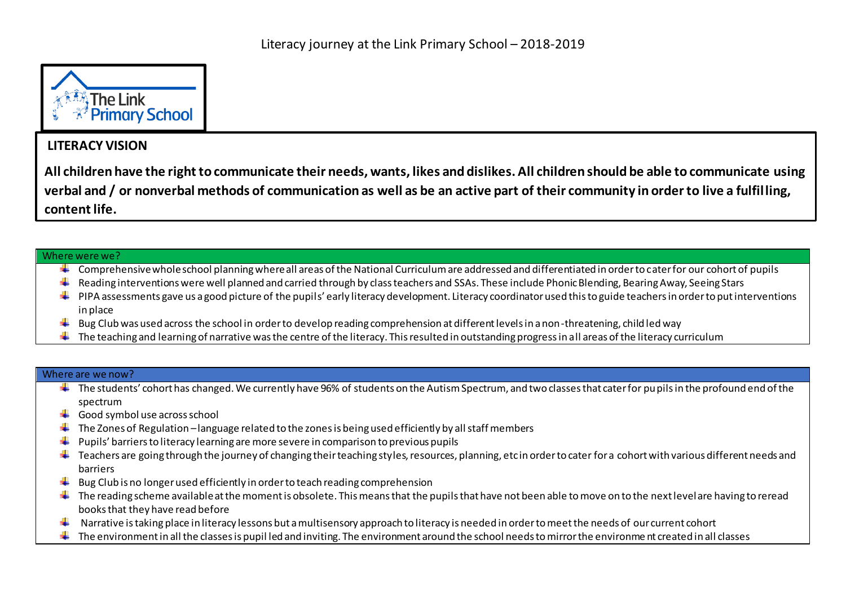

## **LITERACY VISION**

**All children have the right to communicate their needs, wants, likes and dislikes. All children should be able to communicate using verbal and / or nonverbal methods of communication as well as be an active part of their community in order to live a fulfilling, content life.** 

## Where were we?

- Comprehensive whole school planning where all areas of the National Curriculum are addressed and differentiated in order to cater for our cohort of pupils
- $\ddotplus$  Reading interventions were well planned and carried through by class teachers and SSAs. These include Phonic Blending, Bearing Away, Seeing Stars
- $\ddotplus$  PIPA assessments gave us a good picture of the pupils' early literacy development. Literacy coordinator used this to guide teachers in order to put interventions in place
- Bug Club was used across the school in order to develop reading comprehension at different levels in a non-threatening, child led way
- $\ddot{\phantom{a}}$  The teaching and learning of narrative was the centre of the literacy. This resulted in outstanding progress in all areas of the literacy curriculum

## Where are we now?

- $\ddotplus$  The students' cohort has changed. We currently have 96% of students on the Autism Spectrum, and two classes that cater for pupils in the profound end of the spectrum
- $\overline{\phantom{a} }$  Good symbol use across school
- The Zones of Regulation –language related to the zones is being used efficiently by all staff members ۰.
- Pupils' barriers to literacy learning are more severe in comparison to previous pupils ۰.
- $\ddotplus$  Teachers are going through the journey of changing their teaching styles, resources, planning, etc in order to cater for a cohort with various different needs and barriers
- Bug Club is no longer used efficiently in order to teach reading comprehension
- $\ddotplus$  The reading scheme available at the moment is obsolete. This means that the pupils that have not been able to move on to the next level are having to reread books that they have read before
- Narrative is taking place in literacy lessons but a multisensory approach to literacy is needed in order to meet the needs of our current cohort
- The environment in all the classes is pupil led and inviting. The environment around the school needs to mirror the environme nt created in all classes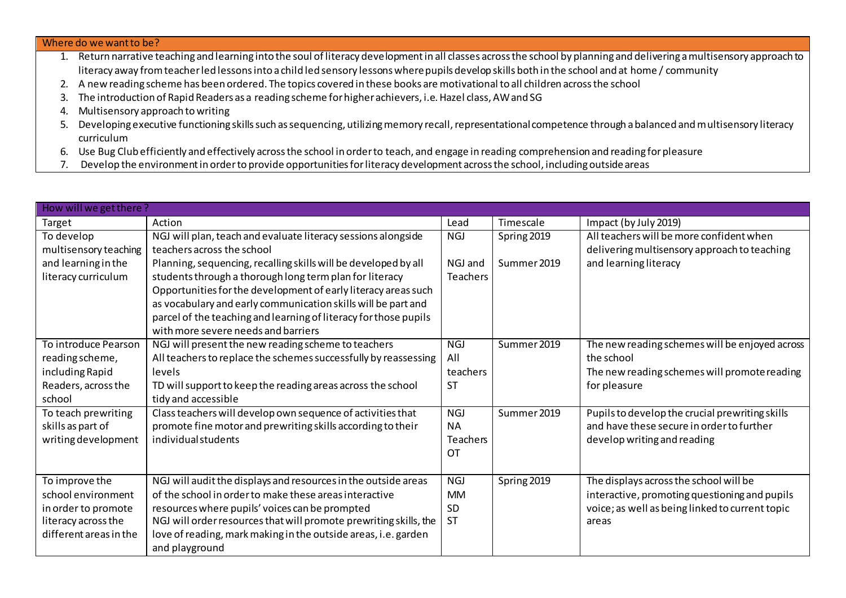| Where do we want to be?                                                                                                                                                     |  |  |  |  |  |
|-----------------------------------------------------------------------------------------------------------------------------------------------------------------------------|--|--|--|--|--|
| 1. Return narrative teaching and learning into the soul of literacy development in all classes across the school by planning and delivering a multisensory approach to      |  |  |  |  |  |
| literacy away from teacher led lessons into a child led sensory lessons where pupils develop skills both in the school and at home / community                              |  |  |  |  |  |
| 2. A new reading scheme has been ordered. The topics covered in these books are motivational to all children across the school                                              |  |  |  |  |  |
| The introduction of Rapid Readers as a reading scheme for higher achievers, i.e. Hazel class, AW and SG                                                                     |  |  |  |  |  |
| 4. Multisensory approach to writing                                                                                                                                         |  |  |  |  |  |
| Developing executive functioning skills such as sequencing, utilizing memory recall, representational competence through a balanced and multisensory literacy<br>curriculum |  |  |  |  |  |

- 6. Use Bug Club efficiently and effectively across the school in order to teach, and engage in reading comprehension and reading for pleasure
- 7. Develop the environment in order to provide opportunities for literacy development across the school, including outside areas

| How will we get there? |                                                                   |            |             |                                                 |  |  |  |  |
|------------------------|-------------------------------------------------------------------|------------|-------------|-------------------------------------------------|--|--|--|--|
| Target                 | Action                                                            | Lead       | Timescale   | Impact (by July 2019)                           |  |  |  |  |
| To develop             | NGJ will plan, teach and evaluate literacy sessions alongside     | <b>NGJ</b> | Spring 2019 | All teachers will be more confident when        |  |  |  |  |
| multisensory teaching  | teachers across the school                                        |            |             | delivering multisensory approach to teaching    |  |  |  |  |
| and learning in the    | Planning, sequencing, recalling skills will be developed by all   | NGJ and    | Summer 2019 | and learning literacy                           |  |  |  |  |
| literacy curriculum    | students through a thorough long term plan for literacy           | Teachers   |             |                                                 |  |  |  |  |
|                        | Opportunities for the development of early literacy areas such    |            |             |                                                 |  |  |  |  |
|                        | as vocabulary and early communication skills will be part and     |            |             |                                                 |  |  |  |  |
|                        | parcel of the teaching and learning of literacy for those pupils  |            |             |                                                 |  |  |  |  |
|                        | with more severe needs and barriers                               |            |             |                                                 |  |  |  |  |
| To introduce Pearson   | NGJ will present the new reading scheme to teachers               | NGI        | Summer 2019 | The new reading schemes will be enjoyed across  |  |  |  |  |
| reading scheme,        | All teachers to replace the schemes successfully by reassessing   | All        |             | the school                                      |  |  |  |  |
| including Rapid        | levels                                                            | teachers   |             | The new reading schemes will promote reading    |  |  |  |  |
| Readers, across the    | TD will support to keep the reading areas across the school       | <b>ST</b>  |             | for pleasure                                    |  |  |  |  |
| school                 | tidy and accessible                                               |            |             |                                                 |  |  |  |  |
| To teach prewriting    | Class teachers will develop own sequence of activities that       | <b>NGJ</b> | Summer 2019 | Pupils to develop the crucial prewriting skills |  |  |  |  |
| skills as part of      | promote fine motor and prewriting skills according to their       | <b>NA</b>  |             | and have these secure in order to further       |  |  |  |  |
| writing development    | individual students                                               | Teachers   |             | develop writing and reading                     |  |  |  |  |
|                        |                                                                   | OT         |             |                                                 |  |  |  |  |
|                        |                                                                   |            |             |                                                 |  |  |  |  |
| To improve the         | NGJ will audit the displays and resources in the outside areas    | <b>NGJ</b> | Spring 2019 | The displays across the school will be          |  |  |  |  |
| school environment     | of the school in order to make these areas interactive            | <b>MM</b>  |             | interactive, promoting questioning and pupils   |  |  |  |  |
| in order to promote    | resources where pupils' voices can be prompted                    | SD         |             | voice; as well as being linked to current topic |  |  |  |  |
| literacy across the    | NGJ will order resources that will promote prewriting skills, the | <b>ST</b>  |             | areas                                           |  |  |  |  |
| different areas in the | love of reading, mark making in the outside areas, i.e. garden    |            |             |                                                 |  |  |  |  |
|                        | and playground                                                    |            |             |                                                 |  |  |  |  |